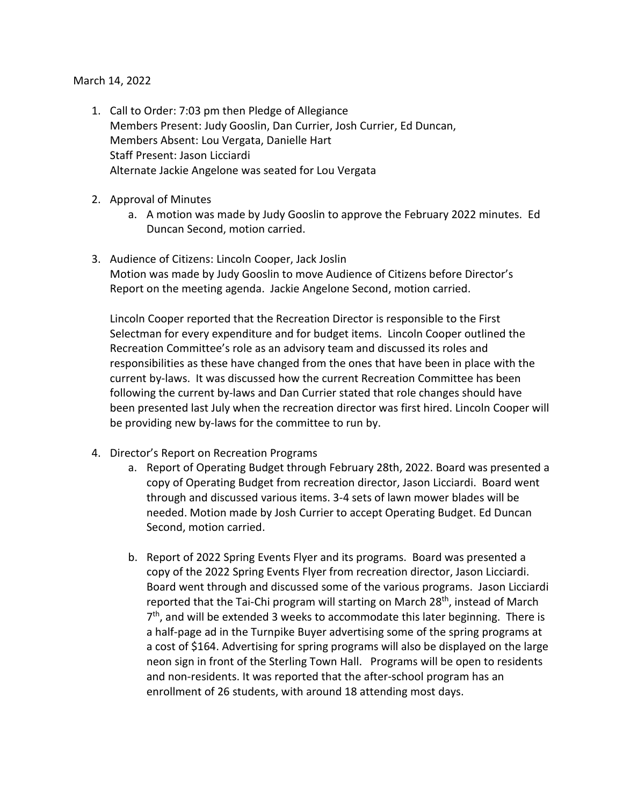## March 14, 2022

- 1. Call to Order: 7:03 pm then Pledge of Allegiance Members Present: Judy Gooslin, Dan Currier, Josh Currier, Ed Duncan, Members Absent: Lou Vergata, Danielle Hart Staff Present: Jason Licciardi Alternate Jackie Angelone was seated for Lou Vergata
- 2. Approval of Minutes
	- a. A motion was made by Judy Gooslin to approve the February 2022 minutes. Ed Duncan Second, motion carried.
- 3. Audience of Citizens: Lincoln Cooper, Jack Joslin Motion was made by Judy Gooslin to move Audience of Citizens before Director's Report on the meeting agenda. Jackie Angelone Second, motion carried.

Lincoln Cooper reported that the Recreation Director is responsible to the First Selectman for every expenditure and for budget items. Lincoln Cooper outlined the Recreation Committee's role as an advisory team and discussed its roles and responsibilities as these have changed from the ones that have been in place with the current by-laws. It was discussed how the current Recreation Committee has been following the current by-laws and Dan Currier stated that role changes should have been presented last July when the recreation director was first hired. Lincoln Cooper will be providing new by-laws for the committee to run by.

- 4. Director's Report on Recreation Programs
	- a. Report of Operating Budget through February 28th, 2022. Board was presented a copy of Operating Budget from recreation director, Jason Licciardi. Board went through and discussed various items. 3-4 sets of lawn mower blades will be needed. Motion made by Josh Currier to accept Operating Budget. Ed Duncan Second, motion carried.
	- b. Report of 2022 Spring Events Flyer and its programs. Board was presented a copy of the 2022 Spring Events Flyer from recreation director, Jason Licciardi. Board went through and discussed some of the various programs. Jason Licciardi reported that the Tai-Chi program will starting on March 28<sup>th</sup>, instead of March 7<sup>th</sup>, and will be extended 3 weeks to accommodate this later beginning. There is a half-page ad in the Turnpike Buyer advertising some of the spring programs at a cost of \$164. Advertising for spring programs will also be displayed on the large neon sign in front of the Sterling Town Hall. Programs will be open to residents and non-residents. It was reported that the after-school program has an enrollment of 26 students, with around 18 attending most days.